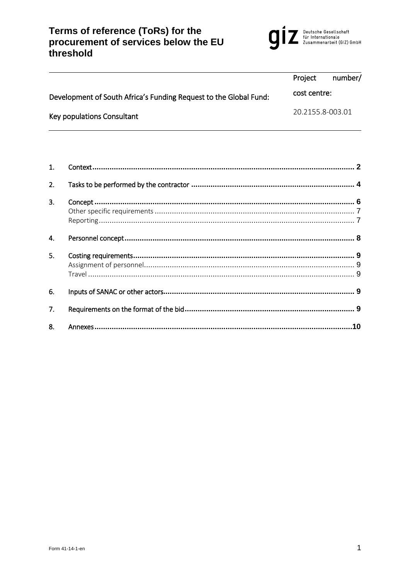# Terms of reference (ToRs) for the<br>procurement of services below the EU<br>threshold



|                                                                   | Project          | number/ |
|-------------------------------------------------------------------|------------------|---------|
| Development of South Africa's Funding Request to the Global Fund: | cost centre:     |         |
| Key populations Consultant                                        | 20.2155.8-003.01 |         |

| $\mathbf{1}$ . |    |
|----------------|----|
| 2.             |    |
| 3.             |    |
|                |    |
|                |    |
| 4.             |    |
| 5.             |    |
|                |    |
|                |    |
| 6.             |    |
| 7.             |    |
| 8.             | 10 |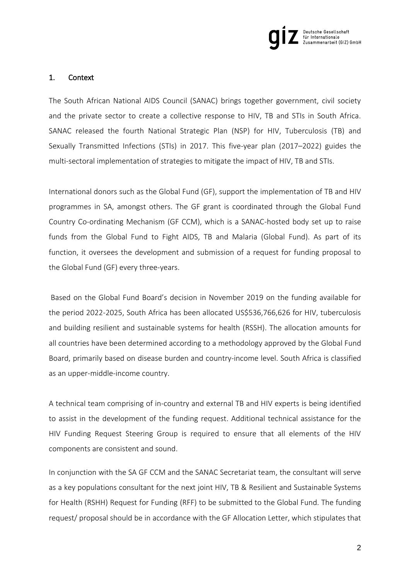

#### <span id="page-1-0"></span>1. Context

The South African National AIDS Council (SANAC) brings together government, civil society and the private sector to create a collective response to HIV, TB and STIs in South Africa. SANAC released the fourth National Strategic Plan (NSP) for HIV, Tuberculosis (TB) and Sexually Transmitted Infections (STIs) in 2017. This five-year plan (2017–2022) guides the multi-sectoral implementation of strategies to mitigate the impact of HIV, TB and STIs.

International donors such as the Global Fund (GF), support the implementation of TB and HIV programmes in SA, amongst others. The GF grant is coordinated through the Global Fund Country Co-ordinating Mechanism (GF CCM), which is a SANAC-hosted body set up to raise funds from the Global Fund to Fight AIDS, TB and Malaria (Global Fund). As part of its function, it oversees the development and submission of a request for funding proposal to the Global Fund (GF) every three-years.

Based on the Global Fund Board's decision in November 2019 on the funding available for the period 2022-2025, South Africa has been allocated US\$536,766,626 for HIV, tuberculosis and building resilient and sustainable systems for health (RSSH). The allocation amounts for all countries have been determined according to a methodology approved by the Global Fund Board, primarily based on disease burden and country-income level. South Africa is classified as an upper-middle-income country.

A technical team comprising of in-country and external TB and HIV experts is being identified to assist in the development of the funding request. Additional technical assistance for the HIV Funding Request Steering Group is required to ensure that all elements of the HIV components are consistent and sound.

In conjunction with the SA GF CCM and the SANAC Secretariat team, the consultant will serve as a key populations consultant for the next joint HIV, TB & Resilient and Sustainable Systems for Health (RSHH) Request for Funding (RFF) to be submitted to the Global Fund. The funding request/ proposal should be in accordance with the GF Allocation Letter, which stipulates that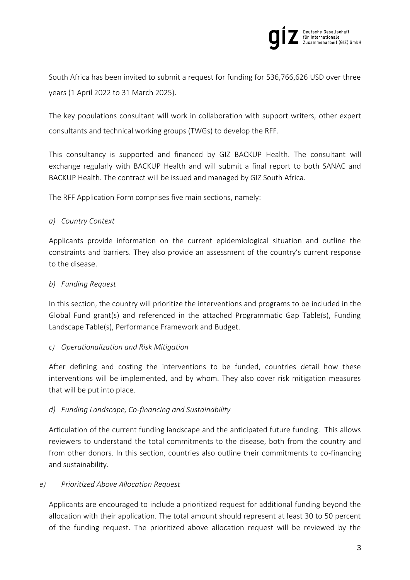

South Africa has been invited to submit a request for funding for 536,766,626 USD over three years (1 April 2022 to 31 March 2025).

The key populations consultant will work in collaboration with support writers, other expert consultants and technical working groups (TWGs) to develop the RFF.

This consultancy is supported and financed by GIZ BACKUP Health. The consultant will exchange regularly with BACKUP Health and will submit a final report to both SANAC and BACKUP Health. The contract will be issued and managed by GIZ South Africa.

The RFF Application Form comprises five main sections, namely:

# *a) Country Context*

Applicants provide information on the current epidemiological situation and outline the constraints and barriers. They also provide an assessment of the country's current response to the disease.

# *b) Funding Request*

In this section, the country will prioritize the interventions and programs to be included in the Global Fund grant(s) and referenced in the attached Programmatic Gap Table(s), Funding Landscape Table(s), Performance Framework and Budget.

# *c) Operationalization and Risk Mitigation*

After defining and costing the interventions to be funded, countries detail how these interventions will be implemented, and by whom. They also cover risk mitigation measures that will be put into place.

# *d) Funding Landscape, Co-financing and Sustainability*

Articulation of the current funding landscape and the anticipated future funding. This allows reviewers to understand the total commitments to the disease, both from the country and from other donors. In this section, countries also outline their commitments to co-financing and sustainability.

# *e) Prioritized Above Allocation Request*

Applicants are encouraged to include a prioritized request for additional funding beyond the allocation with their application. The total amount should represent at least 30 to 50 percent of the funding request. The prioritized above allocation request will be reviewed by the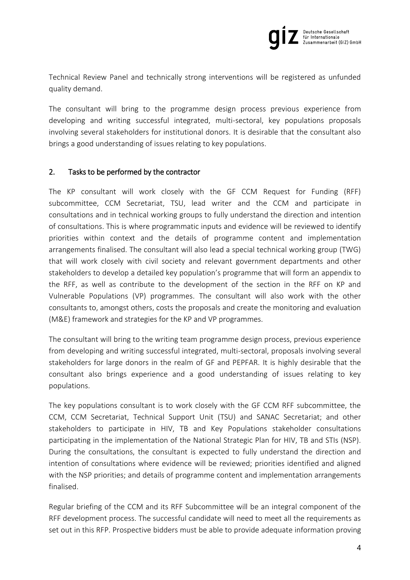

Technical Review Panel and technically strong interventions will be registered as unfunded quality demand.

The consultant will bring to the programme design process previous experience from developing and writing successful integrated, multi-sectoral, key populations proposals involving several stakeholders for institutional donors. It is desirable that the consultant also brings a good understanding of issues relating to key populations.

# <span id="page-3-0"></span>2. Tasks to be performed by the contractor

The KP consultant will work closely with the GF CCM Request for Funding (RFF) subcommittee, CCM Secretariat, TSU, lead writer and the CCM and participate in consultations and in technical working groups to fully understand the direction and intention of consultations. This is where programmatic inputs and evidence will be reviewed to identify priorities within context and the details of programme content and implementation arrangements finalised. The consultant will also lead a special technical working group (TWG) that will work closely with civil society and relevant government departments and other stakeholders to develop a detailed key population's programme that will form an appendix to the RFF, as well as contribute to the development of the section in the RFF on KP and Vulnerable Populations (VP) programmes. The consultant will also work with the other consultants to, amongst others, costs the proposals and create the monitoring and evaluation (M&E) framework and strategies for the KP and VP programmes.

The consultant will bring to the writing team programme design process, previous experience from developing and writing successful integrated, multi-sectoral, proposals involving several stakeholders for large donors in the realm of GF and PEPFAR. It is highly desirable that the consultant also brings experience and a good understanding of issues relating to key populations.

The key populations consultant is to work closely with the GF CCM RFF subcommittee, the CCM, CCM Secretariat, Technical Support Unit (TSU) and SANAC Secretariat; and other stakeholders to participate in HIV, TB and Key Populations stakeholder consultations participating in the implementation of the National Strategic Plan for HIV, TB and STIs (NSP). During the consultations, the consultant is expected to fully understand the direction and intention of consultations where evidence will be reviewed; priorities identified and aligned with the NSP priorities; and details of programme content and implementation arrangements finalised.

Regular briefing of the CCM and its RFF Subcommittee will be an integral component of the RFF development process. The successful candidate will need to meet all the requirements as set out in this RFP. Prospective bidders must be able to provide adequate information proving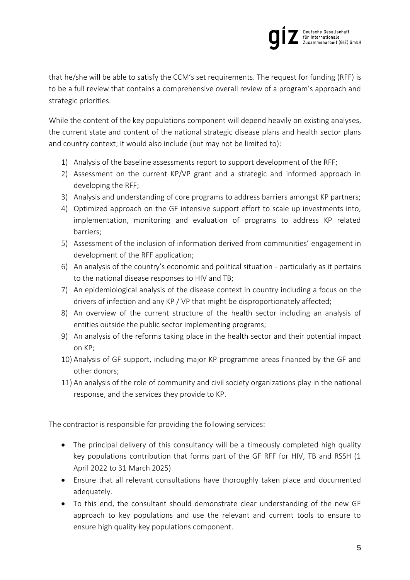

that he/she will be able to satisfy the CCM's set requirements. The request for funding (RFF) is to be a full review that contains a comprehensive overall review of a program's approach and strategic priorities.

While the content of the key populations component will depend heavily on existing analyses, the current state and content of the national strategic disease plans and health sector plans and country context; it would also include (but may not be limited to):

- 1) Analysis of the baseline assessments report to support development of the RFF;
- 2) Assessment on the current KP/VP grant and a strategic and informed approach in developing the RFF;
- 3) Analysis and understanding of core programs to address barriers amongst KP partners;
- 4) Optimized approach on the GF intensive support effort to scale up investments into, implementation, monitoring and evaluation of programs to address KP related barriers;
- 5) Assessment of the inclusion of information derived from communities' engagement in development of the RFF application;
- 6) An analysis of the country's economic and political situation particularly as it pertains to the national disease responses to HIV and TB;
- 7) An epidemiological analysis of the disease context in country including a focus on the drivers of infection and any KP / VP that might be disproportionately affected;
- 8) An overview of the current structure of the health sector including an analysis of entities outside the public sector implementing programs;
- 9) An analysis of the reforms taking place in the health sector and their potential impact on KP;
- 10) Analysis of GF support, including major KP programme areas financed by the GF and other donors;
- 11) An analysis of the role of community and civil society organizations play in the national response, and the services they provide to KP.

The contractor is responsible for providing the following services:

- The principal delivery of this consultancy will be a timeously completed high quality key populations contribution that forms part of the GF RFF for HIV, TB and RSSH (1 April 2022 to 31 March 2025)
- Ensure that all relevant consultations have thoroughly taken place and documented adequately.
- To this end, the consultant should demonstrate clear understanding of the new GF approach to key populations and use the relevant and current tools to ensure to ensure high quality key populations component.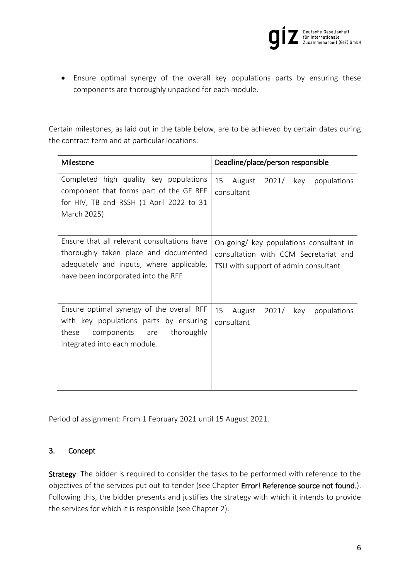

 Ensure optimal synergy of the overall key populations parts by ensuring these components are thoroughly unpacked for each module.

Certain milestones, as laid out in the table below, are to be achieved by certain dates during the contract term and at particular locations:

| Milestone                                                                                                                                                               | Deadline/place/person responsible                                                                                        |  |  |
|-------------------------------------------------------------------------------------------------------------------------------------------------------------------------|--------------------------------------------------------------------------------------------------------------------------|--|--|
| Completed high quality key populations<br>component that forms part of the GF RFF<br>for HIV, TB and RSSH (1 April 2022 to 31<br>March 2025)                            | 15<br>August<br>$2021/$ key<br>populations<br>consultant                                                                 |  |  |
| Ensure that all relevant consultations have<br>thoroughly taken place and documented<br>adequately and inputs, where applicable,<br>have been incorporated into the RFF | On-going/ key populations consultant in<br>consultation with CCM Secretariat and<br>TSU with support of admin consultant |  |  |
| Ensure optimal synergy of the overall RFF<br>with key populations parts by ensuring<br>thoroughly<br>components are<br>these<br>integrated into each module.            | 15<br>August<br>2021/<br>key<br>populations<br>consultant                                                                |  |  |

Period of assignment: From 1 February 2021 until 15 August 2021.

#### <span id="page-5-0"></span>3. Concept

Strategy: The bidder is required to consider the tasks to be performed with reference to the objectives of the services put out to tender (see Chapter Error! Reference source not found.). Following this, the bidder presents and justifies the strategy with which it intends to provide the services for which it is responsible (see Chapter [2\)](#page-3-0).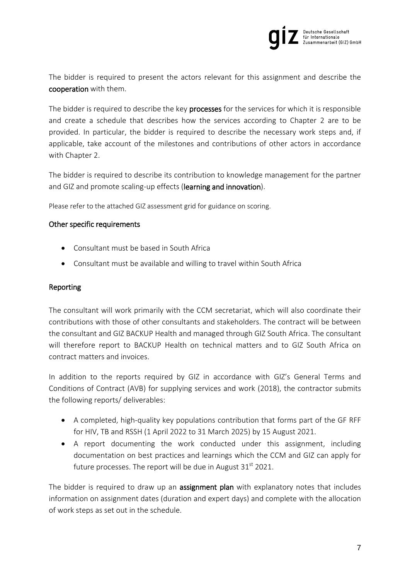

The bidder is required to present the actors relevant for this assignment and describe the cooperation with them.

The bidder is required to describe the key processes for the services for which it is responsible and create a schedule that describes how the services according to Chapter [2](#page-3-0) are to be provided. In particular, the bidder is required to describe the necessary work steps and, if applicable, take account of the milestones and contributions of other actors in accordance with Chapter [2.](#page-3-0)

The bidder is required to describe its contribution to knowledge management for the partner and GIZ and promote scaling-up effects (learning and innovation).

Please refer to the attached GIZ assessment grid for guidance on scoring.

#### <span id="page-6-0"></span>Other specific requirements

- Consultant must be based in South Africa
- Consultant must be available and willing to travel within South Africa

#### <span id="page-6-1"></span>Reporting

The consultant will work primarily with the CCM secretariat, which will also coordinate their contributions with those of other consultants and stakeholders. The contract will be between the consultant and GIZ BACKUP Health and managed through GIZ South Africa. The consultant will therefore report to BACKUP Health on technical matters and to GIZ South Africa on contract matters and invoices.

In addition to the reports required by GIZ in accordance with GIZ's General Terms and Conditions of Contract (AVB) for supplying services and work (2018), the contractor submits the following reports/ deliverables:

- A completed, high-quality key populations contribution that forms part of the GF RFF for HIV, TB and RSSH (1 April 2022 to 31 March 2025) by 15 August 2021.
- A report documenting the work conducted under this assignment, including documentation on best practices and learnings which the CCM and GIZ can apply for future processes. The report will be due in August  $31<sup>st</sup>$  2021.

The bidder is required to draw up an **assignment plan** with explanatory notes that includes information on assignment dates (duration and expert days) and complete with the allocation of work steps as set out in the schedule.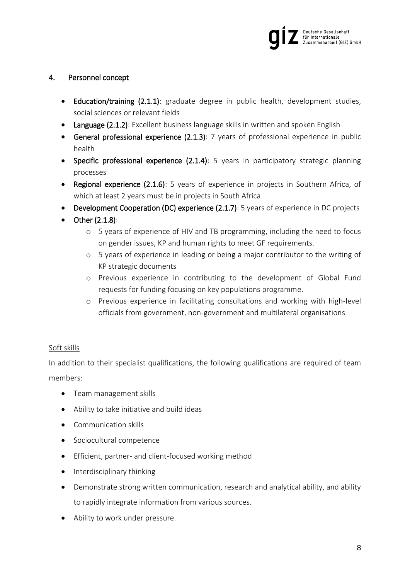

# <span id="page-7-0"></span>4. Personnel concept

- Education/training (2.1.1): graduate degree in public health, development studies, social sciences or relevant fields
- Language (2.1.2): Excellent business language skills in written and spoken English
- General professional experience (2.1.3): 7 years of professional experience in public health
- Specific professional experience (2.1.4): 5 years in participatory strategic planning processes
- Regional experience (2.1.6): 5 years of experience in projects in Southern Africa, of which at least 2 years must be in projects in South Africa
- Development Cooperation (DC) experience (2.1.7): 5 years of experience in DC projects
- $\bullet$  Other (2.1.8):
	- o 5 years of experience of HIV and TB programming, including the need to focus on gender issues, KP and human rights to meet GF requirements.
	- o 5 years of experience in leading or being a major contributor to the writing of KP strategic documents
	- o Previous experience in contributing to the development of Global Fund requests for funding focusing on key populations programme.
	- o Previous experience in facilitating consultations and working with high-level officials from government, non-government and multilateral organisations

# Soft skills

In addition to their specialist qualifications, the following qualifications are required of team members:

- Team management skills
- Ability to take initiative and build ideas
- Communication skills
- Sociocultural competence
- Efficient, partner- and client-focused working method
- Interdisciplinary thinking
- Demonstrate strong written communication, research and analytical ability, and ability to rapidly integrate information from various sources.
- Ability to work under pressure.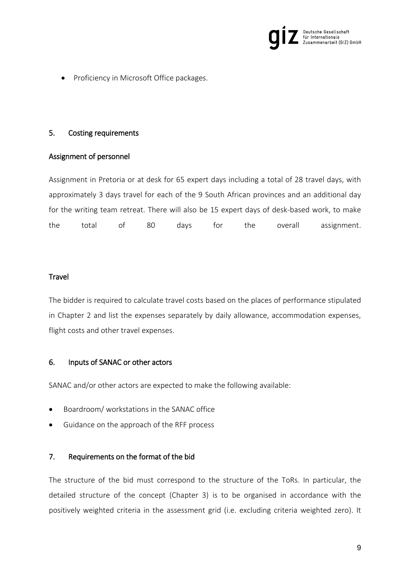

Proficiency in Microsoft Office packages.

### <span id="page-8-0"></span>5. Costing requirements

# <span id="page-8-1"></span>Assignment of personnel

Assignment in Pretoria or at desk for 65 expert days including a total of 28 travel days, with approximately 3 days travel for each of the 9 South African provinces and an additional day for the writing team retreat. There will also be 15 expert days of desk-based work, to make the total of 80 days for the overall assignment.

# <span id="page-8-2"></span>**Travel**

The bidder is required to calculate travel costs based on the places of performance stipulated in Chapter [2](#page-3-0) and list the expenses separately by daily allowance, accommodation expenses, flight costs and other travel expenses.

#### <span id="page-8-3"></span>6. Inputs of SANAC or other actors

SANAC and/or other actors are expected to make the following available:

- Boardroom/ workstations in the SANAC office
- Guidance on the approach of the RFF process

# <span id="page-8-4"></span>7. Requirements on the format of the bid

The structure of the bid must correspond to the structure of the ToRs. In particular, the detailed structure of the concept (Chapter 3) is to be organised in accordance with the positively weighted criteria in the assessment grid (i.e. excluding criteria weighted zero). It